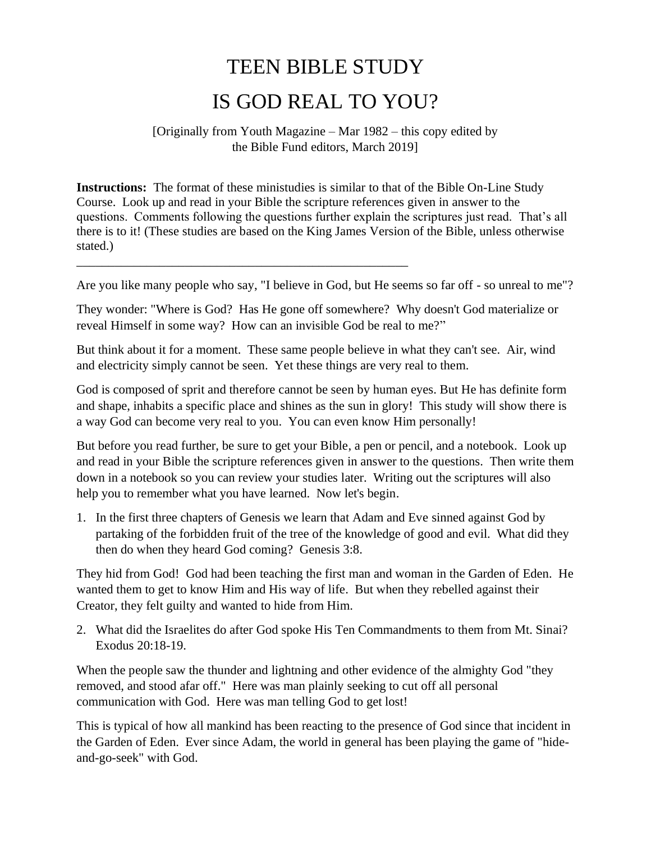## TEEN BIBLE STUDY IS GOD REAL TO YOU?

## [Originally from Youth Magazine – Mar 1982 – this copy edited by the Bible Fund editors, March 2019]

**Instructions:** The format of these ministudies is similar to that of the Bible On-Line Study Course. Look up and read in your Bible the scripture references given in answer to the questions. Comments following the questions further explain the scriptures just read. That's all there is to it! (These studies are based on the King James Version of the Bible, unless otherwise stated.)

Are you like many people who say, "I believe in God, but He seems so far off - so unreal to me"?

They wonder: "Where is God? Has He gone off somewhere? Why doesn't God materialize or reveal Himself in some way? How can an invisible God be real to me?"

\_\_\_\_\_\_\_\_\_\_\_\_\_\_\_\_\_\_\_\_\_\_\_\_\_\_\_\_\_\_\_\_\_\_\_\_\_\_\_\_\_\_\_\_\_\_\_\_\_\_\_\_

But think about it for a moment. These same people believe in what they can't see. Air, wind and electricity simply cannot be seen. Yet these things are very real to them.

God is composed of sprit and therefore cannot be seen by human eyes. But He has definite form and shape, inhabits a specific place and shines as the sun in glory! This study will show there is a way God can become very real to you. You can even know Him personally!

But before you read further, be sure to get your Bible, a pen or pencil, and a notebook. Look up and read in your Bible the scripture references given in answer to the questions. Then write them down in a notebook so you can review your studies later. Writing out the scriptures will also help you to remember what you have learned. Now let's begin.

1. In the first three chapters of Genesis we learn that Adam and Eve sinned against God by partaking of the forbidden fruit of the tree of the knowledge of good and evil. What did they then do when they heard God coming? Genesis 3:8.

They hid from God! God had been teaching the first man and woman in the Garden of Eden. He wanted them to get to know Him and His way of life. But when they rebelled against their Creator, they felt guilty and wanted to hide from Him.

2. What did the Israelites do after God spoke His Ten Commandments to them from Mt. Sinai? Exodus 20:18-19.

When the people saw the thunder and lightning and other evidence of the almighty God "they removed, and stood afar off." Here was man plainly seeking to cut off all personal communication with God. Here was man telling God to get lost!

This is typical of how all mankind has been reacting to the presence of God since that incident in the Garden of Eden. Ever since Adam, the world in general has been playing the game of "hideand-go-seek" with God.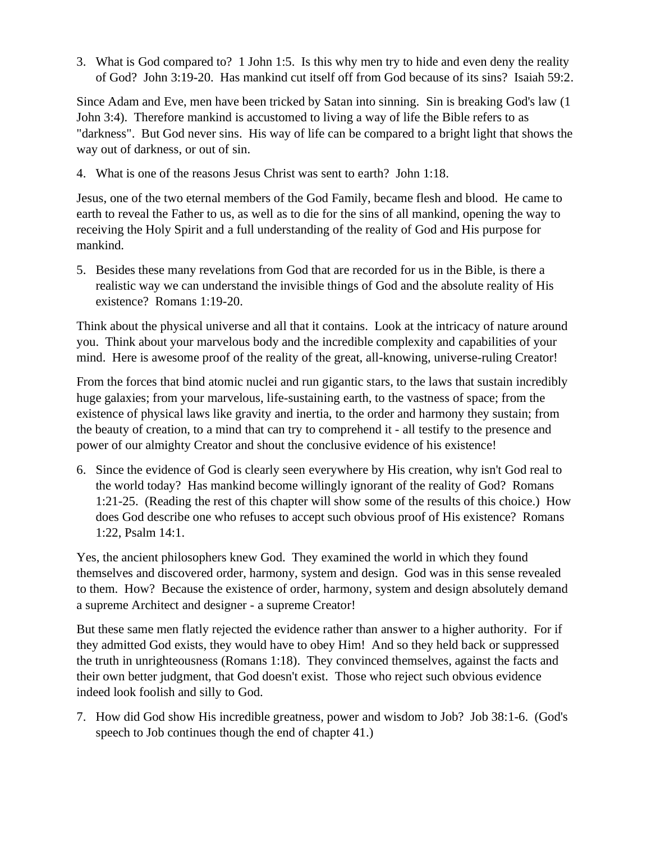3. What is God compared to? 1 John 1:5. Is this why men try to hide and even deny the reality of God? John 3:19-20. Has mankind cut itself off from God because of its sins? Isaiah 59:2.

Since Adam and Eve, men have been tricked by Satan into sinning. Sin is breaking God's law (1 John 3:4). Therefore mankind is accustomed to living a way of life the Bible refers to as "darkness". But God never sins. His way of life can be compared to a bright light that shows the way out of darkness, or out of sin.

4. What is one of the reasons Jesus Christ was sent to earth? John 1:18.

Jesus, one of the two eternal members of the God Family, became flesh and blood. He came to earth to reveal the Father to us, as well as to die for the sins of all mankind, opening the way to receiving the Holy Spirit and a full understanding of the reality of God and His purpose for mankind.

5. Besides these many revelations from God that are recorded for us in the Bible, is there a realistic way we can understand the invisible things of God and the absolute reality of His existence? Romans 1:19-20.

Think about the physical universe and all that it contains. Look at the intricacy of nature around you. Think about your marvelous body and the incredible complexity and capabilities of your mind. Here is awesome proof of the reality of the great, all-knowing, universe-ruling Creator!

From the forces that bind atomic nuclei and run gigantic stars, to the laws that sustain incredibly huge galaxies; from your marvelous, life-sustaining earth, to the vastness of space; from the existence of physical laws like gravity and inertia, to the order and harmony they sustain; from the beauty of creation, to a mind that can try to comprehend it - all testify to the presence and power of our almighty Creator and shout the conclusive evidence of his existence!

6. Since the evidence of God is clearly seen everywhere by His creation, why isn't God real to the world today? Has mankind become willingly ignorant of the reality of God? Romans 1:21-25. (Reading the rest of this chapter will show some of the results of this choice.) How does God describe one who refuses to accept such obvious proof of His existence? Romans 1:22, Psalm 14:1.

Yes, the ancient philosophers knew God. They examined the world in which they found themselves and discovered order, harmony, system and design. God was in this sense revealed to them. How? Because the existence of order, harmony, system and design absolutely demand a supreme Architect and designer - a supreme Creator!

But these same men flatly rejected the evidence rather than answer to a higher authority. For if they admitted God exists, they would have to obey Him! And so they held back or suppressed the truth in unrighteousness (Romans 1:18). They convinced themselves, against the facts and their own better judgment, that God doesn't exist. Those who reject such obvious evidence indeed look foolish and silly to God.

7. How did God show His incredible greatness, power and wisdom to Job? Job 38:1-6. (God's speech to Job continues though the end of chapter 41.)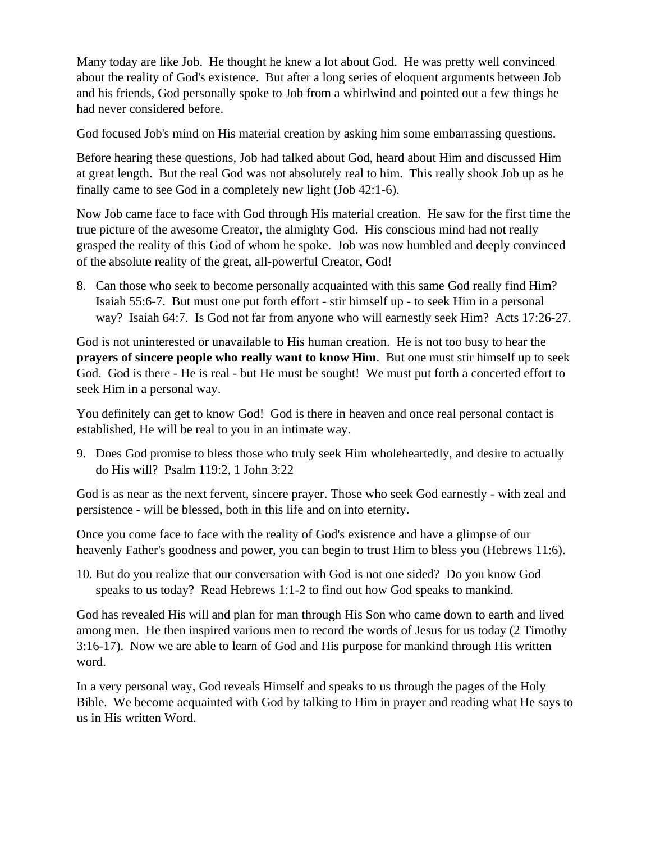Many today are like Job. He thought he knew a lot about God. He was pretty well convinced about the reality of God's existence. But after a long series of eloquent arguments between Job and his friends, God personally spoke to Job from a whirlwind and pointed out a few things he had never considered before.

God focused Job's mind on His material creation by asking him some embarrassing questions.

Before hearing these questions, Job had talked about God, heard about Him and discussed Him at great length. But the real God was not absolutely real to him. This really shook Job up as he finally came to see God in a completely new light (Job 42:1-6).

Now Job came face to face with God through His material creation. He saw for the first time the true picture of the awesome Creator, the almighty God. His conscious mind had not really grasped the reality of this God of whom he spoke. Job was now humbled and deeply convinced of the absolute reality of the great, all-powerful Creator, God!

8. Can those who seek to become personally acquainted with this same God really find Him? Isaiah 55:6-7. But must one put forth effort - stir himself up - to seek Him in a personal way? Isaiah 64:7. Is God not far from anyone who will earnestly seek Him? Acts 17:26-27.

God is not uninterested or unavailable to His human creation. He is not too busy to hear the **prayers of sincere people who really want to know Him**. But one must stir himself up to seek God. God is there - He is real - but He must be sought! We must put forth a concerted effort to seek Him in a personal way.

You definitely can get to know God! God is there in heaven and once real personal contact is established, He will be real to you in an intimate way.

9. Does God promise to bless those who truly seek Him wholeheartedly, and desire to actually do His will? Psalm 119:2, 1 John 3:22

God is as near as the next fervent, sincere prayer. Those who seek God earnestly - with zeal and persistence - will be blessed, both in this life and on into eternity.

Once you come face to face with the reality of God's existence and have a glimpse of our heavenly Father's goodness and power, you can begin to trust Him to bless you (Hebrews 11:6).

10. But do you realize that our conversation with God is not one sided? Do you know God speaks to us today? Read Hebrews 1:1-2 to find out how God speaks to mankind.

God has revealed His will and plan for man through His Son who came down to earth and lived among men. He then inspired various men to record the words of Jesus for us today (2 Timothy 3:16-17). Now we are able to learn of God and His purpose for mankind through His written word.

In a very personal way, God reveals Himself and speaks to us through the pages of the Holy Bible. We become acquainted with God by talking to Him in prayer and reading what He says to us in His written Word.